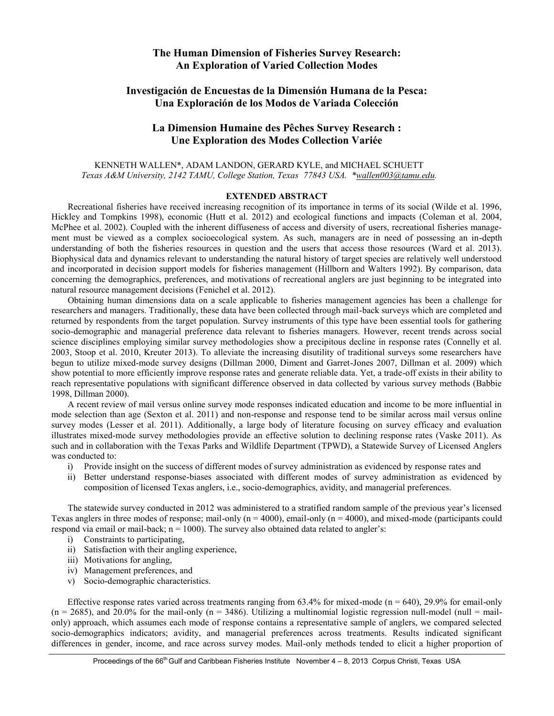## **The Human Dimension of Fisheries Survey Research: An Exploration of Varied Collection Modes**

# **Investigación de Encuestas de la Dimensión Humana de la Pesca: Una Exploración de los Modos de Variada Colección**

## **La Dimension Humaine des Pêches Survey Research : Une Exploration des Modes Collection Variée**

### KENNETH WALLEN\*, ADAM LANDON, GERARD KYLE, and MICHAEL SCHUETT *Texas A&M University, 2142 TAMU, College Station, Texas 77843 USA. \*wallen003@tamu.edu.*

### **EXTENDED ABSTRACT**

Recreational fisheries have received increasing recognition of its importance in terms of its social (Wilde et al. 1996, Hickley and Tompkins 1998), economic (Hutt et al. 2012) and ecological functions and impacts (Coleman et al. 2004, McPhee et al. 2002). Coupled with the inherent diffuseness of access and diversity of users, recreational fisheries management must be viewed as a complex socioecological system. As such, managers are in need of possessing an in-depth understanding of both the fisheries resources in question and the users that access those resources (Ward et al. 2013). Biophysical data and dynamics relevant to understanding the natural history of target species are relatively well understood and incorporated in decision support models for fisheries management (Hillborn and Walters 1992). By comparison, data concerning the demographics, preferences, and motivations of recreational anglers are just beginning to be integrated into natural resource management decisions (Fenichel et al. 2012).

Obtaining human dimensions data on a scale applicable to fisheries management agencies has been a challenge for researchers and managers. Traditionally, these data have been collected through mail-back surveys which are completed and returned by respondents from the target population. Survey instruments of this type have been essential tools for gathering socio-demographic and managerial preference data relevant to fisheries managers. However, recent trends across social science disciplines employing similar survey methodologies show a precipitous decline in response rates (Connelly et al. 2003, Stoop et al. 2010, Kreuter 2013). To alleviate the increasing disutility of traditional surveys some researchers have begun to utilize mixed-mode survey designs (Dillman 2000, Diment and Garret-Jones 2007, Dillman et al. 2009) which show potential to more efficiently improve response rates and generate reliable data. Yet, a trade-off exists in their ability to reach representative populations with significant difference observed in data collected by various survey methods (Babbie 1998, Dillman 2000).

A recent review of mail versus online survey mode responses indicated education and income to be more influential in mode selection than age (Sexton et al. 2011) and non-response and response tend to be similar across mail versus online survey modes (Lesser et al. 2011). Additionally, a large body of literature focusing on survey efficacy and evaluation illustrates mixed-mode survey methodologies provide an effective solution to declining response rates (Vaske 2011). As such and in collaboration with the Texas Parks and Wildlife Department (TPWD), a Statewide Survey of Licensed Anglers was conducted to:

- i) Provide insight on the success of different modes of survey administration as evidenced by response rates and
- ii) Better understand response-biases associated with different modes of survey administration as evidenced by composition of licensed Texas anglers, i.e., socio-demographics, avidity, and managerial preferences.

The statewide survey conducted in 2012 was administered to a stratified random sample of the previous year's licensed Texas anglers in three modes of response; mail-only  $(n = 4000)$ , email-only  $(n = 4000)$ , and mixed-mode (participants could respond via email or mail-back;  $n = 1000$ ). The survey also obtained data related to angler's:

- i) Constraints to participating,
- ii) Satisfaction with their angling experience,
- iii) Motivations for angling,
- iv) Management preferences, and
- v) Socio-demographic characteristics.

Effective response rates varied across treatments ranging from  $63.4\%$  for mixed-mode (n = 640), 29.9% for email-only  $(n = 2685)$ , and 20.0% for the mail-only  $(n = 3486)$ . Utilizing a multinomial logistic regression null-model (null = mailonly) approach, which assumes each mode of response contains a representative sample of anglers, we compared selected socio-demographics indicators; avidity, and managerial preferences across treatments. Results indicated significant differences in gender, income, and race across survey modes. Mail-only methods tended to elicit a higher proportion of